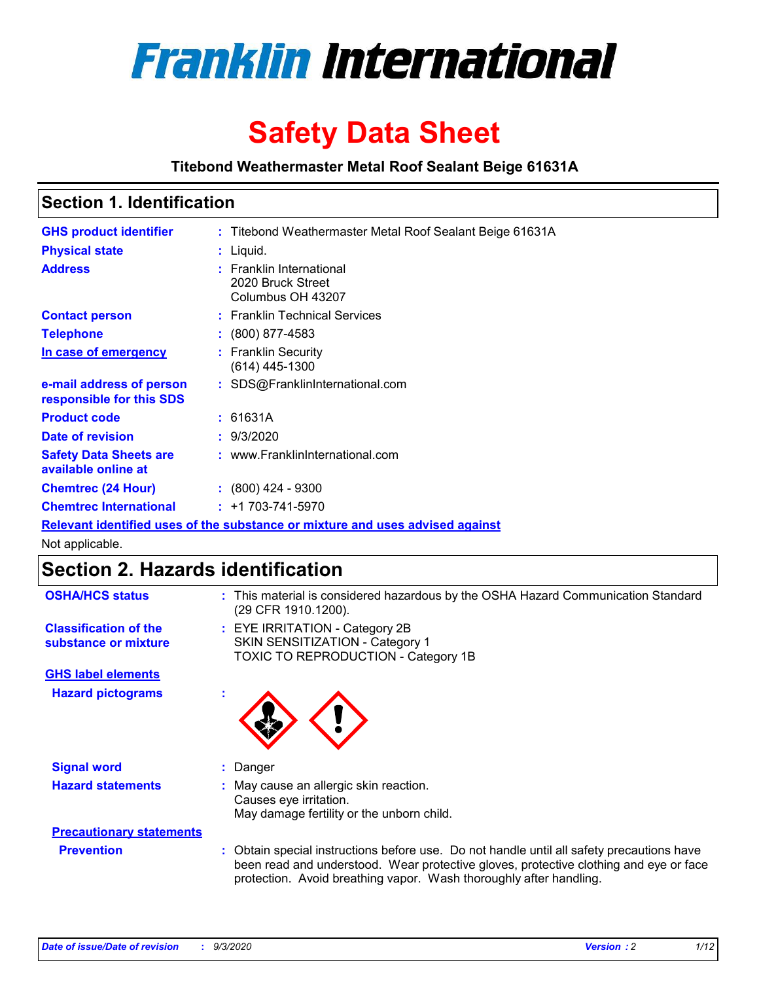

# **Safety Data Sheet**

**Titebond Weathermaster Metal Roof Sealant Beige 61631A**

### **Section 1. Identification**

| <b>GHS product identifier</b>                                                 |  | : Titebond Weathermaster Metal Roof Sealant Beige 61631A           |  |
|-------------------------------------------------------------------------------|--|--------------------------------------------------------------------|--|
| <b>Physical state</b>                                                         |  | : Liquid.                                                          |  |
| <b>Address</b>                                                                |  | : Franklin International<br>2020 Bruck Street<br>Columbus OH 43207 |  |
| <b>Contact person</b>                                                         |  | : Franklin Technical Services                                      |  |
| <b>Telephone</b>                                                              |  | $\div$ (800) 877-4583                                              |  |
| In case of emergency                                                          |  | : Franklin Security<br>$(614)$ 445-1300                            |  |
| e-mail address of person<br>responsible for this SDS                          |  | : SDS@FranklinInternational.com                                    |  |
| <b>Product code</b>                                                           |  | : 61631A                                                           |  |
| Date of revision                                                              |  | : 9/3/2020                                                         |  |
| <b>Safety Data Sheets are</b><br>available online at                          |  | : www.FranklinInternational.com                                    |  |
| <b>Chemtrec (24 Hour)</b>                                                     |  | $\div$ (800) 424 - 9300                                            |  |
| <b>Chemtrec International</b>                                                 |  | $: +1703 - 741 - 5970$                                             |  |
| Relevant identified uses of the substance or mixture and uses advised against |  |                                                                    |  |

Not applicable.

### **Section 2. Hazards identification**

| <b>OSHA/HCS status</b>                               |    | : This material is considered hazardous by the OSHA Hazard Communication Standard<br>(29 CFR 1910.1200).                                                                                                                                                 |
|------------------------------------------------------|----|----------------------------------------------------------------------------------------------------------------------------------------------------------------------------------------------------------------------------------------------------------|
| <b>Classification of the</b><br>substance or mixture |    | : EYE IRRITATION - Category 2B<br>SKIN SENSITIZATION - Category 1<br>TOXIC TO REPRODUCTION - Category 1B                                                                                                                                                 |
| <b>GHS label elements</b>                            |    |                                                                                                                                                                                                                                                          |
| <b>Hazard pictograms</b>                             | ×. |                                                                                                                                                                                                                                                          |
| <b>Signal word</b>                                   | ÷. | Danger                                                                                                                                                                                                                                                   |
| <b>Hazard statements</b>                             |    | May cause an allergic skin reaction.<br>Causes eye irritation.<br>May damage fertility or the unborn child.                                                                                                                                              |
| <b>Precautionary statements</b>                      |    |                                                                                                                                                                                                                                                          |
| <b>Prevention</b>                                    |    | : Obtain special instructions before use. Do not handle until all safety precautions have<br>been read and understood. Wear protective gloves, protective clothing and eye or face<br>protection. Avoid breathing vapor. Wash thoroughly after handling. |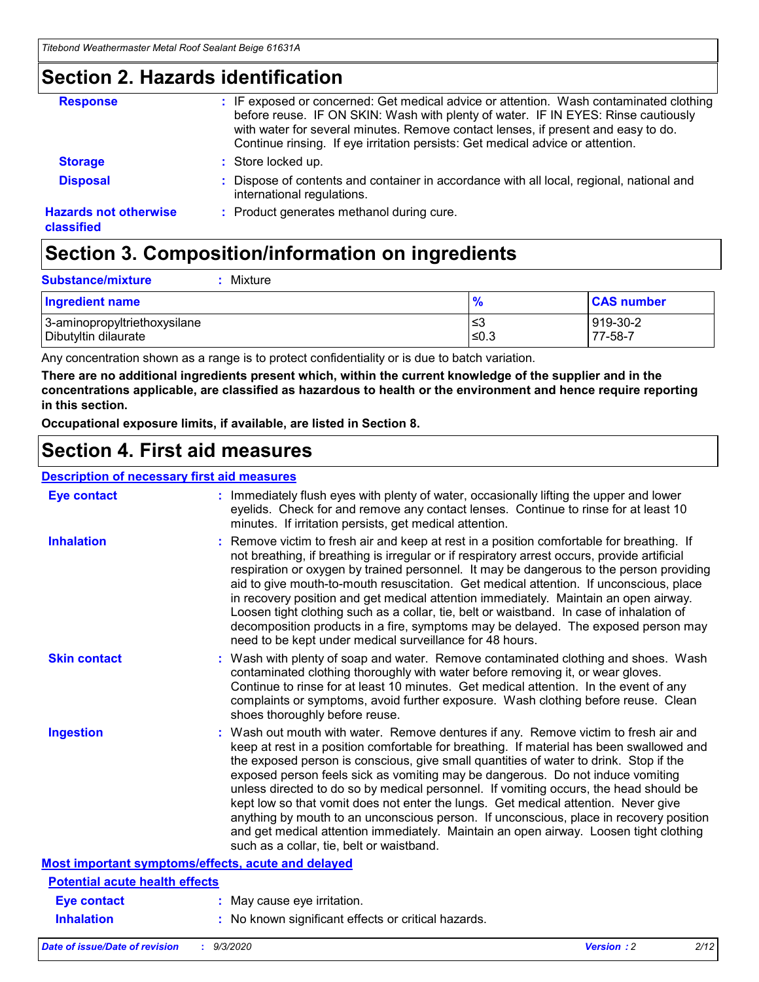### **Section 2. Hazards identification**

| <b>Response</b>                            | : IF exposed or concerned: Get medical advice or attention. Wash contaminated clothing<br>before reuse. IF ON SKIN: Wash with plenty of water. IF IN EYES: Rinse cautiously<br>with water for several minutes. Remove contact lenses, if present and easy to do.<br>Continue rinsing. If eye irritation persists: Get medical advice or attention. |
|--------------------------------------------|----------------------------------------------------------------------------------------------------------------------------------------------------------------------------------------------------------------------------------------------------------------------------------------------------------------------------------------------------|
| <b>Storage</b>                             | : Store locked up.                                                                                                                                                                                                                                                                                                                                 |
| <b>Disposal</b>                            | : Dispose of contents and container in accordance with all local, regional, national and<br>international regulations.                                                                                                                                                                                                                             |
| <b>Hazards not otherwise</b><br>classified | : Product generates methanol during cure.                                                                                                                                                                                                                                                                                                          |

# **Section 3. Composition/information on ingredients**

| <b>Substance/mixture</b> |  | : Mixture |
|--------------------------|--|-----------|
|--------------------------|--|-----------|

| <b>Ingredient name</b>       | $\frac{9}{6}$ | <b>CAS number</b> |
|------------------------------|---------------|-------------------|
| 3-aminopropyltriethoxysilane | ≤3            | 919-30-2          |
| Dibutyltin dilaurate         | ∣≤0.3         | 77-58-7           |

Any concentration shown as a range is to protect confidentiality or is due to batch variation.

**There are no additional ingredients present which, within the current knowledge of the supplier and in the concentrations applicable, are classified as hazardous to health or the environment and hence require reporting in this section.**

**Occupational exposure limits, if available, are listed in Section 8.**

### **Section 4. First aid measures**

| <b>Description of necessary first aid measures</b> |                                                                                                                                                                                                                                                                                                                                                                                                                                                                                                                                                                                                                                                                                                                                                                           |
|----------------------------------------------------|---------------------------------------------------------------------------------------------------------------------------------------------------------------------------------------------------------------------------------------------------------------------------------------------------------------------------------------------------------------------------------------------------------------------------------------------------------------------------------------------------------------------------------------------------------------------------------------------------------------------------------------------------------------------------------------------------------------------------------------------------------------------------|
| <b>Eye contact</b>                                 | : Immediately flush eyes with plenty of water, occasionally lifting the upper and lower<br>eyelids. Check for and remove any contact lenses. Continue to rinse for at least 10<br>minutes. If irritation persists, get medical attention.                                                                                                                                                                                                                                                                                                                                                                                                                                                                                                                                 |
| <b>Inhalation</b>                                  | : Remove victim to fresh air and keep at rest in a position comfortable for breathing. If<br>not breathing, if breathing is irregular or if respiratory arrest occurs, provide artificial<br>respiration or oxygen by trained personnel. It may be dangerous to the person providing<br>aid to give mouth-to-mouth resuscitation. Get medical attention. If unconscious, place<br>in recovery position and get medical attention immediately. Maintain an open airway.<br>Loosen tight clothing such as a collar, tie, belt or waistband. In case of inhalation of<br>decomposition products in a fire, symptoms may be delayed. The exposed person may<br>need to be kept under medical surveillance for 48 hours.                                                       |
| <b>Skin contact</b>                                | : Wash with plenty of soap and water. Remove contaminated clothing and shoes. Wash<br>contaminated clothing thoroughly with water before removing it, or wear gloves.<br>Continue to rinse for at least 10 minutes. Get medical attention. In the event of any<br>complaints or symptoms, avoid further exposure. Wash clothing before reuse. Clean<br>shoes thoroughly before reuse.                                                                                                                                                                                                                                                                                                                                                                                     |
| <b>Ingestion</b>                                   | : Wash out mouth with water. Remove dentures if any. Remove victim to fresh air and<br>keep at rest in a position comfortable for breathing. If material has been swallowed and<br>the exposed person is conscious, give small quantities of water to drink. Stop if the<br>exposed person feels sick as vomiting may be dangerous. Do not induce vomiting<br>unless directed to do so by medical personnel. If vomiting occurs, the head should be<br>kept low so that vomit does not enter the lungs. Get medical attention. Never give<br>anything by mouth to an unconscious person. If unconscious, place in recovery position<br>and get medical attention immediately. Maintain an open airway. Loosen tight clothing<br>such as a collar, tie, belt or waistband. |
| Most important symptoms/effects, acute and delayed |                                                                                                                                                                                                                                                                                                                                                                                                                                                                                                                                                                                                                                                                                                                                                                           |
| <b>Potential acute health effects</b>              |                                                                                                                                                                                                                                                                                                                                                                                                                                                                                                                                                                                                                                                                                                                                                                           |
| <b>Eye contact</b>                                 | : May cause eye irritation.                                                                                                                                                                                                                                                                                                                                                                                                                                                                                                                                                                                                                                                                                                                                               |
| <b>Inhalation</b>                                  | : No known significant effects or critical hazards.                                                                                                                                                                                                                                                                                                                                                                                                                                                                                                                                                                                                                                                                                                                       |
|                                                    |                                                                                                                                                                                                                                                                                                                                                                                                                                                                                                                                                                                                                                                                                                                                                                           |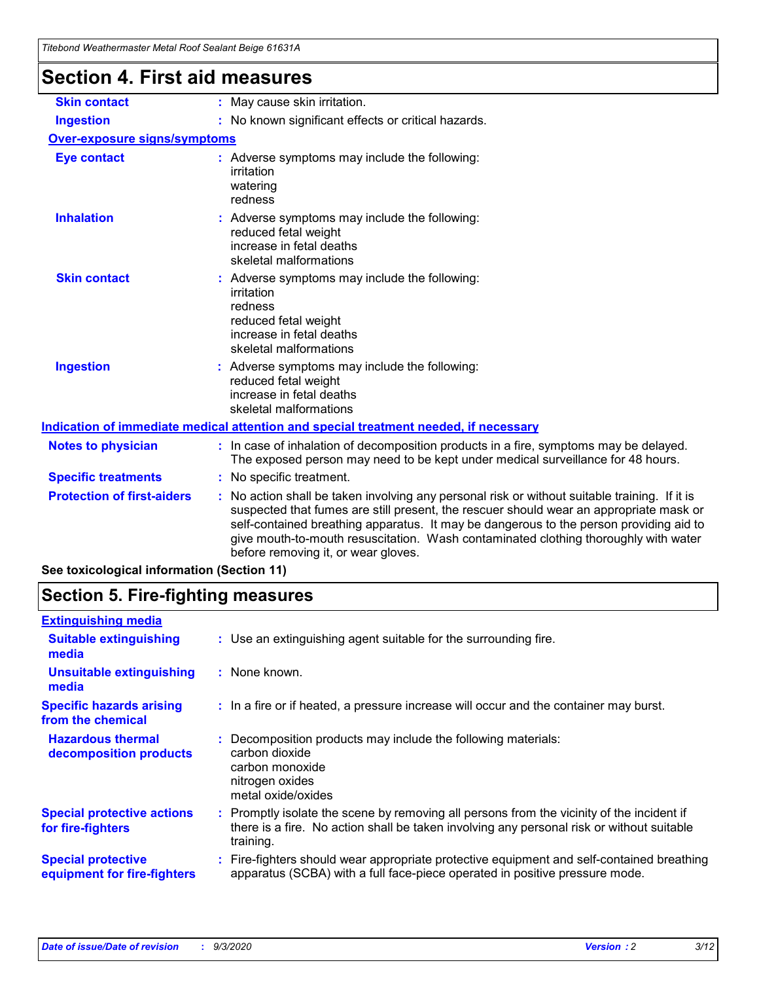| <u>Hiebona Wealhennasier Melar Koor Sealahi Belge 01031A</u> |                                                                                                                                                                                                                                                                                                                                                                                                                 |
|--------------------------------------------------------------|-----------------------------------------------------------------------------------------------------------------------------------------------------------------------------------------------------------------------------------------------------------------------------------------------------------------------------------------------------------------------------------------------------------------|
| Section 4. First aid measures                                |                                                                                                                                                                                                                                                                                                                                                                                                                 |
| <b>Skin contact</b>                                          | : May cause skin irritation.                                                                                                                                                                                                                                                                                                                                                                                    |
| <b>Ingestion</b>                                             | : No known significant effects or critical hazards.                                                                                                                                                                                                                                                                                                                                                             |
| <b>Over-exposure signs/symptoms</b>                          |                                                                                                                                                                                                                                                                                                                                                                                                                 |
| <b>Eye contact</b>                                           | : Adverse symptoms may include the following:<br>irritation<br>watering<br>redness                                                                                                                                                                                                                                                                                                                              |
| <b>Inhalation</b>                                            | : Adverse symptoms may include the following:<br>reduced fetal weight<br>increase in fetal deaths<br>skeletal malformations                                                                                                                                                                                                                                                                                     |
| <b>Skin contact</b>                                          | : Adverse symptoms may include the following:<br>irritation<br>redness<br>reduced fetal weight<br>increase in fetal deaths<br>skeletal malformations                                                                                                                                                                                                                                                            |
| <b>Ingestion</b>                                             | : Adverse symptoms may include the following:<br>reduced fetal weight<br>increase in fetal deaths<br>skeletal malformations                                                                                                                                                                                                                                                                                     |
|                                                              | Indication of immediate medical attention and special treatment needed, if necessary                                                                                                                                                                                                                                                                                                                            |
| <b>Notes to physician</b>                                    | : In case of inhalation of decomposition products in a fire, symptoms may be delayed.<br>The exposed person may need to be kept under medical surveillance for 48 hours.                                                                                                                                                                                                                                        |
| <b>Specific treatments</b>                                   | : No specific treatment.                                                                                                                                                                                                                                                                                                                                                                                        |
| <b>Protection of first-aiders</b>                            | : No action shall be taken involving any personal risk or without suitable training. If it is<br>suspected that fumes are still present, the rescuer should wear an appropriate mask or<br>self-contained breathing apparatus. It may be dangerous to the person providing aid to<br>give mouth-to-mouth resuscitation. Wash contaminated clothing thoroughly with water<br>before removing it, or wear gloves. |

**See toxicological information (Section 11)**

### **Section 5. Fire-fighting measures**

| <b>Extinguishing media</b>                               |                                                                                                                                                                                                     |
|----------------------------------------------------------|-----------------------------------------------------------------------------------------------------------------------------------------------------------------------------------------------------|
| <b>Suitable extinguishing</b><br>media                   | : Use an extinguishing agent suitable for the surrounding fire.                                                                                                                                     |
| <b>Unsuitable extinguishing</b><br>media                 | : None known.                                                                                                                                                                                       |
| <b>Specific hazards arising</b><br>from the chemical     | : In a fire or if heated, a pressure increase will occur and the container may burst.                                                                                                               |
| <b>Hazardous thermal</b><br>decomposition products       | Decomposition products may include the following materials:<br>carbon dioxide<br>carbon monoxide<br>nitrogen oxides<br>metal oxide/oxides                                                           |
| <b>Special protective actions</b><br>for fire-fighters   | : Promptly isolate the scene by removing all persons from the vicinity of the incident if<br>there is a fire. No action shall be taken involving any personal risk or without suitable<br>training. |
| <b>Special protective</b><br>equipment for fire-fighters | : Fire-fighters should wear appropriate protective equipment and self-contained breathing<br>apparatus (SCBA) with a full face-piece operated in positive pressure mode.                            |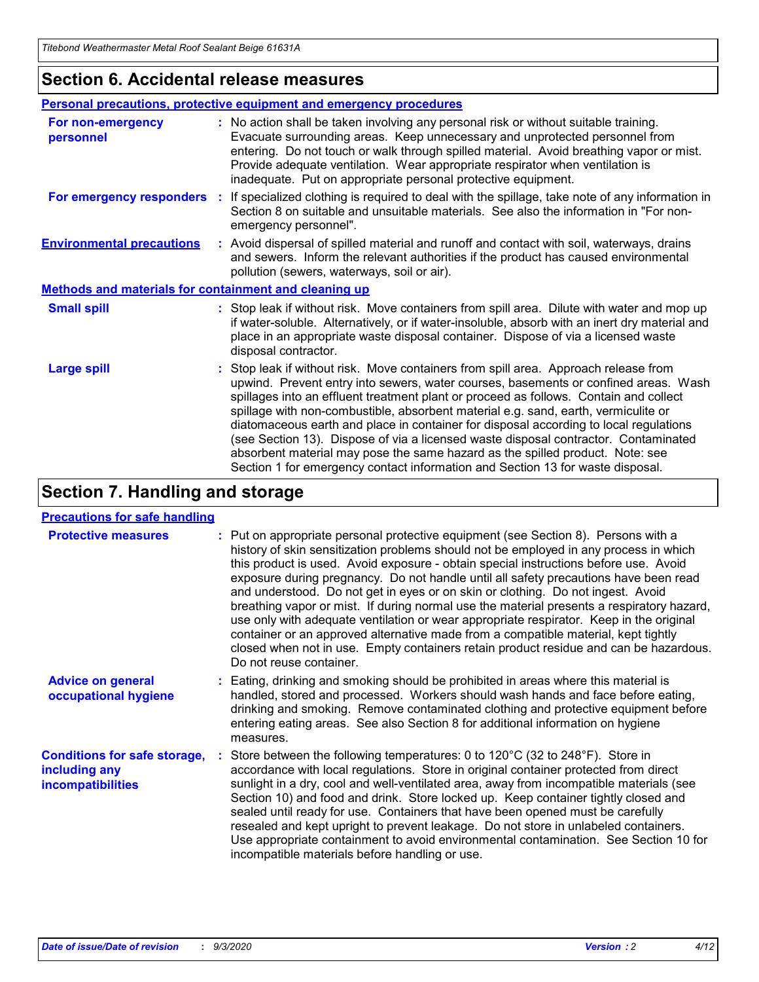### **Section 6. Accidental release measures**

|                                                              | <b>Personal precautions, protective equipment and emergency procedures</b>                                                                                                                                                                                                                                                                                                                                                                                                                                                                                                                                                                                                                                   |  |  |  |
|--------------------------------------------------------------|--------------------------------------------------------------------------------------------------------------------------------------------------------------------------------------------------------------------------------------------------------------------------------------------------------------------------------------------------------------------------------------------------------------------------------------------------------------------------------------------------------------------------------------------------------------------------------------------------------------------------------------------------------------------------------------------------------------|--|--|--|
| For non-emergency<br>personnel                               | : No action shall be taken involving any personal risk or without suitable training.<br>Evacuate surrounding areas. Keep unnecessary and unprotected personnel from<br>entering. Do not touch or walk through spilled material. Avoid breathing vapor or mist.<br>Provide adequate ventilation. Wear appropriate respirator when ventilation is<br>inadequate. Put on appropriate personal protective equipment.                                                                                                                                                                                                                                                                                             |  |  |  |
| For emergency responders                                     | : If specialized clothing is required to deal with the spillage, take note of any information in<br>Section 8 on suitable and unsuitable materials. See also the information in "For non-<br>emergency personnel".                                                                                                                                                                                                                                                                                                                                                                                                                                                                                           |  |  |  |
| <b>Environmental precautions</b>                             | : Avoid dispersal of spilled material and runoff and contact with soil, waterways, drains<br>and sewers. Inform the relevant authorities if the product has caused environmental<br>pollution (sewers, waterways, soil or air).                                                                                                                                                                                                                                                                                                                                                                                                                                                                              |  |  |  |
| <b>Methods and materials for containment and cleaning up</b> |                                                                                                                                                                                                                                                                                                                                                                                                                                                                                                                                                                                                                                                                                                              |  |  |  |
| <b>Small spill</b>                                           | : Stop leak if without risk. Move containers from spill area. Dilute with water and mop up<br>if water-soluble. Alternatively, or if water-insoluble, absorb with an inert dry material and<br>place in an appropriate waste disposal container. Dispose of via a licensed waste<br>disposal contractor.                                                                                                                                                                                                                                                                                                                                                                                                     |  |  |  |
| <b>Large spill</b>                                           | : Stop leak if without risk. Move containers from spill area. Approach release from<br>upwind. Prevent entry into sewers, water courses, basements or confined areas. Wash<br>spillages into an effluent treatment plant or proceed as follows. Contain and collect<br>spillage with non-combustible, absorbent material e.g. sand, earth, vermiculite or<br>diatomaceous earth and place in container for disposal according to local regulations<br>(see Section 13). Dispose of via a licensed waste disposal contractor. Contaminated<br>absorbent material may pose the same hazard as the spilled product. Note: see<br>Section 1 for emergency contact information and Section 13 for waste disposal. |  |  |  |

### **Section 7. Handling and storage**

#### **Precautions for safe handling**

| <b>Protective measures</b>                                                       | : Put on appropriate personal protective equipment (see Section 8). Persons with a<br>history of skin sensitization problems should not be employed in any process in which<br>this product is used. Avoid exposure - obtain special instructions before use. Avoid<br>exposure during pregnancy. Do not handle until all safety precautions have been read<br>and understood. Do not get in eyes or on skin or clothing. Do not ingest. Avoid<br>breathing vapor or mist. If during normal use the material presents a respiratory hazard,<br>use only with adequate ventilation or wear appropriate respirator. Keep in the original<br>container or an approved alternative made from a compatible material, kept tightly<br>closed when not in use. Empty containers retain product residue and can be hazardous.<br>Do not reuse container. |
|----------------------------------------------------------------------------------|--------------------------------------------------------------------------------------------------------------------------------------------------------------------------------------------------------------------------------------------------------------------------------------------------------------------------------------------------------------------------------------------------------------------------------------------------------------------------------------------------------------------------------------------------------------------------------------------------------------------------------------------------------------------------------------------------------------------------------------------------------------------------------------------------------------------------------------------------|
| <b>Advice on general</b><br>occupational hygiene                                 | : Eating, drinking and smoking should be prohibited in areas where this material is<br>handled, stored and processed. Workers should wash hands and face before eating,<br>drinking and smoking. Remove contaminated clothing and protective equipment before<br>entering eating areas. See also Section 8 for additional information on hygiene<br>measures.                                                                                                                                                                                                                                                                                                                                                                                                                                                                                    |
| <b>Conditions for safe storage,</b><br>including any<br><b>incompatibilities</b> | Store between the following temperatures: 0 to 120°C (32 to 248°F). Store in<br>accordance with local regulations. Store in original container protected from direct<br>sunlight in a dry, cool and well-ventilated area, away from incompatible materials (see<br>Section 10) and food and drink. Store locked up. Keep container tightly closed and<br>sealed until ready for use. Containers that have been opened must be carefully<br>resealed and kept upright to prevent leakage. Do not store in unlabeled containers.<br>Use appropriate containment to avoid environmental contamination. See Section 10 for<br>incompatible materials before handling or use.                                                                                                                                                                         |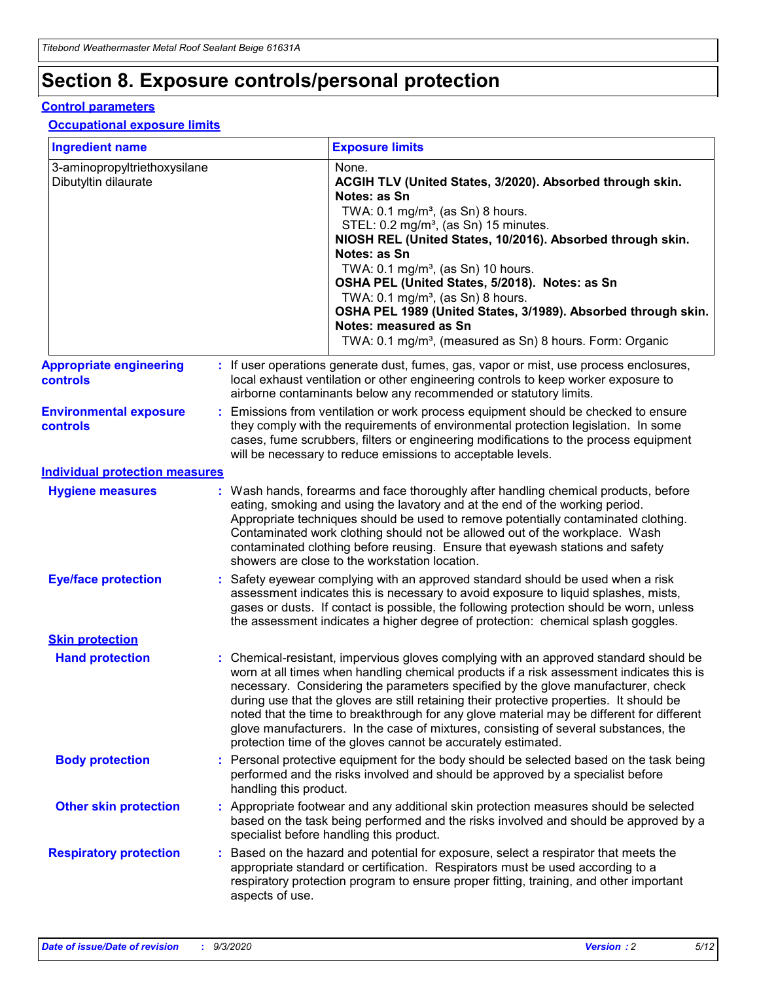# **Section 8. Exposure controls/personal protection**

#### **Control parameters**

#### **Occupational exposure limits**

| <b>Ingredient name</b>                               |    |                        | <b>Exposure limits</b>                                                                                                                                                                                                                                                                                                                                                                                                                                                                                                                                                                                                 |
|------------------------------------------------------|----|------------------------|------------------------------------------------------------------------------------------------------------------------------------------------------------------------------------------------------------------------------------------------------------------------------------------------------------------------------------------------------------------------------------------------------------------------------------------------------------------------------------------------------------------------------------------------------------------------------------------------------------------------|
| 3-aminopropyltriethoxysilane<br>Dibutyltin dilaurate |    |                        | None.<br>ACGIH TLV (United States, 3/2020). Absorbed through skin.<br>Notes: as Sn<br>TWA: $0.1 \text{ mg/m}^3$ , (as Sn) 8 hours.<br>STEL: 0.2 mg/m <sup>3</sup> , (as Sn) 15 minutes.<br>NIOSH REL (United States, 10/2016). Absorbed through skin.<br>Notes: as Sn<br>TWA: 0.1 mg/m <sup>3</sup> , (as Sn) 10 hours.<br>OSHA PEL (United States, 5/2018). Notes: as Sn<br>TWA: $0.1 \text{ mg/m}^3$ , (as Sn) 8 hours.<br>OSHA PEL 1989 (United States, 3/1989). Absorbed through skin.<br>Notes: measured as Sn<br>TWA: 0.1 mg/m <sup>3</sup> , (measured as Sn) 8 hours. Form: Organic                            |
| <b>Appropriate engineering</b><br>controls           |    |                        | : If user operations generate dust, fumes, gas, vapor or mist, use process enclosures,<br>local exhaust ventilation or other engineering controls to keep worker exposure to<br>airborne contaminants below any recommended or statutory limits.                                                                                                                                                                                                                                                                                                                                                                       |
| <b>Environmental exposure</b><br>controls            |    |                        | Emissions from ventilation or work process equipment should be checked to ensure<br>they comply with the requirements of environmental protection legislation. In some<br>cases, fume scrubbers, filters or engineering modifications to the process equipment<br>will be necessary to reduce emissions to acceptable levels.                                                                                                                                                                                                                                                                                          |
| <b>Individual protection measures</b>                |    |                        |                                                                                                                                                                                                                                                                                                                                                                                                                                                                                                                                                                                                                        |
| <b>Hygiene measures</b>                              |    |                        | : Wash hands, forearms and face thoroughly after handling chemical products, before<br>eating, smoking and using the lavatory and at the end of the working period.<br>Appropriate techniques should be used to remove potentially contaminated clothing.<br>Contaminated work clothing should not be allowed out of the workplace. Wash<br>contaminated clothing before reusing. Ensure that eyewash stations and safety<br>showers are close to the workstation location.                                                                                                                                            |
| <b>Eye/face protection</b>                           |    |                        | : Safety eyewear complying with an approved standard should be used when a risk<br>assessment indicates this is necessary to avoid exposure to liquid splashes, mists,<br>gases or dusts. If contact is possible, the following protection should be worn, unless<br>the assessment indicates a higher degree of protection: chemical splash goggles.                                                                                                                                                                                                                                                                  |
| <b>Skin protection</b>                               |    |                        |                                                                                                                                                                                                                                                                                                                                                                                                                                                                                                                                                                                                                        |
| <b>Hand protection</b>                               |    |                        | : Chemical-resistant, impervious gloves complying with an approved standard should be<br>worn at all times when handling chemical products if a risk assessment indicates this is<br>necessary. Considering the parameters specified by the glove manufacturer, check<br>during use that the gloves are still retaining their protective properties. It should be<br>noted that the time to breakthrough for any glove material may be different for different<br>glove manufacturers. In the case of mixtures, consisting of several substances, the<br>protection time of the gloves cannot be accurately estimated. |
| <b>Body protection</b>                               |    | handling this product. | Personal protective equipment for the body should be selected based on the task being<br>performed and the risks involved and should be approved by a specialist before                                                                                                                                                                                                                                                                                                                                                                                                                                                |
| <b>Other skin protection</b>                         |    |                        | : Appropriate footwear and any additional skin protection measures should be selected<br>based on the task being performed and the risks involved and should be approved by a<br>specialist before handling this product.                                                                                                                                                                                                                                                                                                                                                                                              |
| <b>Respiratory protection</b>                        | ÷. | aspects of use.        | Based on the hazard and potential for exposure, select a respirator that meets the<br>appropriate standard or certification. Respirators must be used according to a<br>respiratory protection program to ensure proper fitting, training, and other important                                                                                                                                                                                                                                                                                                                                                         |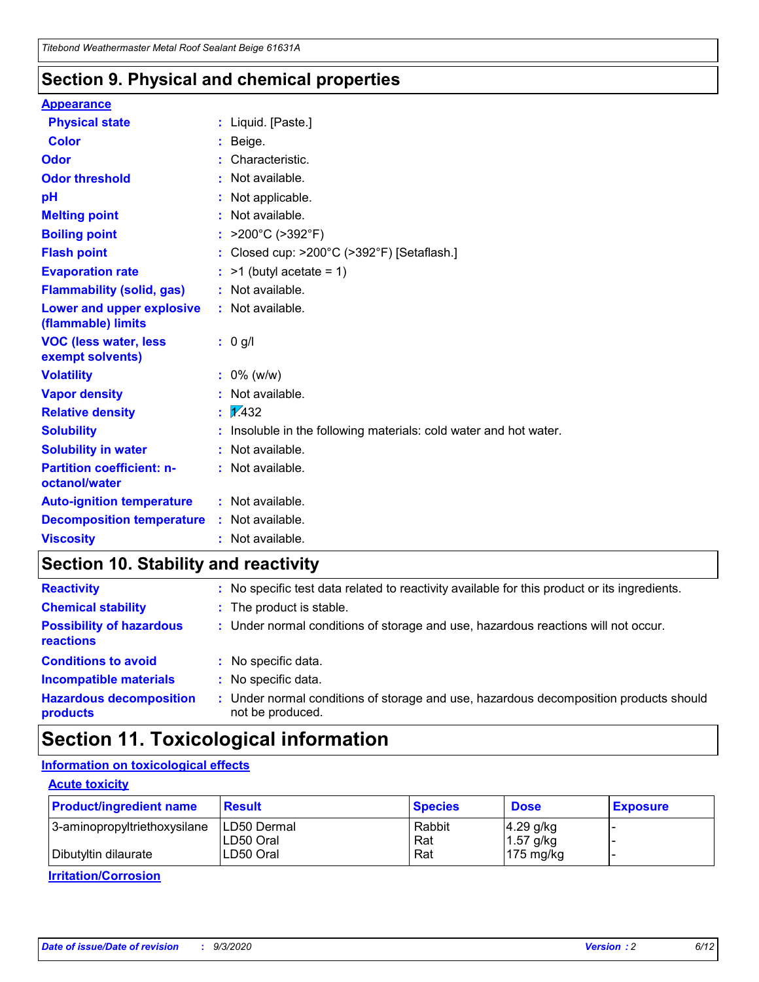### **Section 9. Physical and chemical properties**

#### **Appearance**

| <b>Physical state</b>                             | : Liquid. [Paste.]                                              |
|---------------------------------------------------|-----------------------------------------------------------------|
| <b>Color</b>                                      | Beige.                                                          |
| Odor                                              | Characteristic.                                                 |
| <b>Odor threshold</b>                             | Not available.                                                  |
| рH                                                | Not applicable.                                                 |
| <b>Melting point</b>                              | : Not available.                                                |
| <b>Boiling point</b>                              | >200°C (>392°F)                                                 |
| <b>Flash point</b>                                | Closed cup: >200°C (>392°F) [Setaflash.]                        |
| <b>Evaporation rate</b>                           | $:$ >1 (butyl acetate = 1)                                      |
| <b>Flammability (solid, gas)</b>                  | : Not available.                                                |
| Lower and upper explosive<br>(flammable) limits   | : Not available.                                                |
| <b>VOC (less water, less)</b><br>exempt solvents) | : 0 g/l                                                         |
| <b>Volatility</b>                                 | $: 0\%$ (w/w)                                                   |
| <b>Vapor density</b>                              | Not available.                                                  |
| <b>Relative density</b>                           | $\mathbf{1}$ $\mathbf{\sqrt{432}}$                              |
| <b>Solubility</b>                                 | Insoluble in the following materials: cold water and hot water. |
| <b>Solubility in water</b>                        | Not available.                                                  |
| <b>Partition coefficient: n-</b><br>octanol/water | $:$ Not available.                                              |
| <b>Auto-ignition temperature</b>                  | : Not available.                                                |
| <b>Decomposition temperature</b>                  | : Not available.                                                |
| <b>Viscosity</b>                                  | $:$ Not available.                                              |

### **Section 10. Stability and reactivity**

| <b>Reactivity</b>                            |    | : No specific test data related to reactivity available for this product or its ingredients.            |
|----------------------------------------------|----|---------------------------------------------------------------------------------------------------------|
| <b>Chemical stability</b>                    |    | : The product is stable.                                                                                |
| <b>Possibility of hazardous</b><br>reactions |    | : Under normal conditions of storage and use, hazardous reactions will not occur.                       |
| <b>Conditions to avoid</b>                   |    | : No specific data.                                                                                     |
| <b>Incompatible materials</b>                | ٠. | No specific data.                                                                                       |
| <b>Hazardous decomposition</b><br>products   | ÷. | Under normal conditions of storage and use, hazardous decomposition products should<br>not be produced. |

### **Section 11. Toxicological information**

#### **Information on toxicological effects**

#### **Acute toxicity**

| <b>Product/ingredient name</b> | <b>Result</b>           | <b>Species</b> | <b>Dose</b>                | <b>Exposure</b> |
|--------------------------------|-------------------------|----------------|----------------------------|-----------------|
| 3-aminopropyltriethoxysilane   | <b>ILD50 Dermal</b>     | Rabbit         | 4.29 g/kg                  |                 |
| Dibutyltin dilaurate           | ILD50 Oral<br>LD50 Oral | Rat<br>Rat     | $1.57$ g/kg<br>175 $mg/kg$ |                 |
|                                |                         |                |                            |                 |

**Irritation/Corrosion**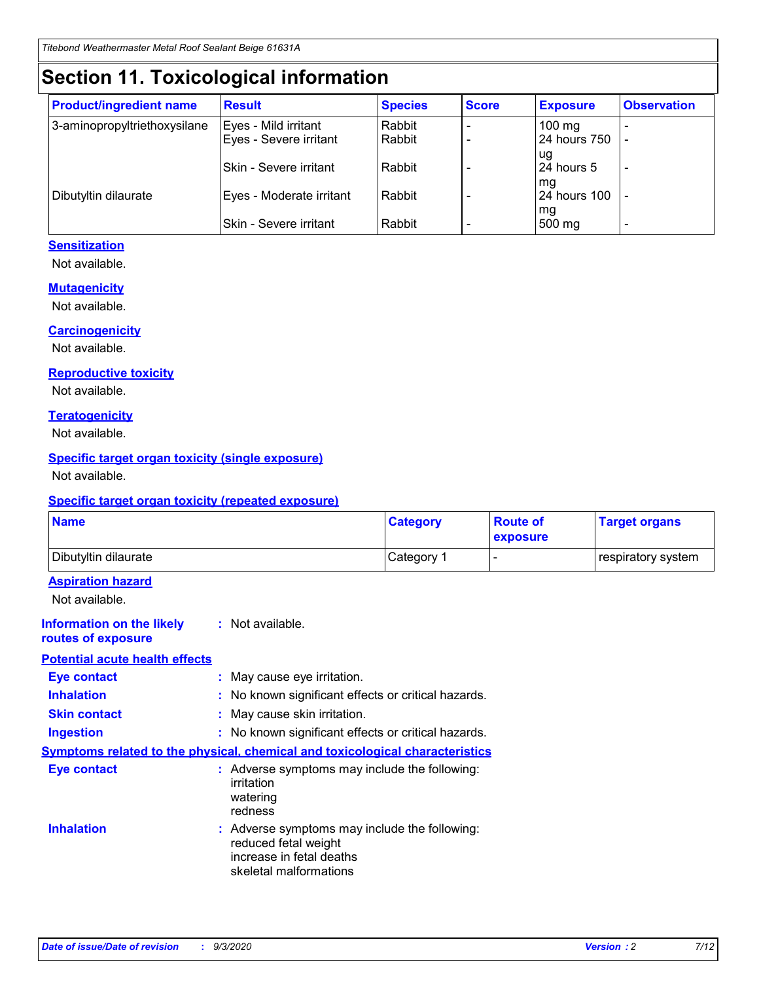# **Section 11. Toxicological information**

| <b>Product/ingredient name</b> | <b>Result</b>            | <b>Species</b> | <b>Score</b> | <b>Exposure</b>  | <b>Observation</b> |
|--------------------------------|--------------------------|----------------|--------------|------------------|--------------------|
| 3-aminopropyltriethoxysilane   | Eyes - Mild irritant     | Rabbit         |              | $100 \text{ mg}$ |                    |
|                                | Eyes - Severe irritant   | Rabbit         |              | 24 hours 750     |                    |
|                                |                          |                |              | ug               |                    |
|                                | Skin - Severe irritant   | Rabbit         |              | 24 hours 5       | -                  |
|                                |                          | Rabbit         |              | mq               |                    |
| Dibutyltin dilaurate           | Eyes - Moderate irritant |                |              | 24 hours 100     |                    |
|                                | Skin - Severe irritant   | Rabbit         |              | mg<br>500 mg     |                    |

#### **Sensitization**

Not available.

#### **Mutagenicity**

Not available.

#### **Carcinogenicity**

Not available.

#### **Reproductive toxicity**

Not available.

#### **Teratogenicity**

Not available.

#### **Specific target organ toxicity (single exposure)**

Not available.

#### **Specific target organ toxicity (repeated exposure)**

| <b>Name</b>                                                                  |                                                                                                                             | <b>Category</b> | <b>Route of</b><br>exposure | <b>Target organs</b> |
|------------------------------------------------------------------------------|-----------------------------------------------------------------------------------------------------------------------------|-----------------|-----------------------------|----------------------|
| Dibutyltin dilaurate                                                         |                                                                                                                             | Category 1      |                             | respiratory system   |
| <b>Aspiration hazard</b><br>Not available.                                   |                                                                                                                             |                 |                             |                      |
| <b>Information on the likely</b><br>routes of exposure                       | : Not available.                                                                                                            |                 |                             |                      |
| <b>Potential acute health effects</b>                                        |                                                                                                                             |                 |                             |                      |
| <b>Eye contact</b>                                                           | : May cause eye irritation.                                                                                                 |                 |                             |                      |
| <b>Inhalation</b>                                                            | : No known significant effects or critical hazards.                                                                         |                 |                             |                      |
| <b>Skin contact</b>                                                          | : May cause skin irritation.                                                                                                |                 |                             |                      |
| <b>Ingestion</b>                                                             | : No known significant effects or critical hazards.                                                                         |                 |                             |                      |
| Symptoms related to the physical, chemical and toxicological characteristics |                                                                                                                             |                 |                             |                      |
| <b>Eye contact</b>                                                           | : Adverse symptoms may include the following:<br>irritation<br>watering<br>redness                                          |                 |                             |                      |
| <b>Inhalation</b>                                                            | : Adverse symptoms may include the following:<br>reduced fetal weight<br>increase in fetal deaths<br>skeletal malformations |                 |                             |                      |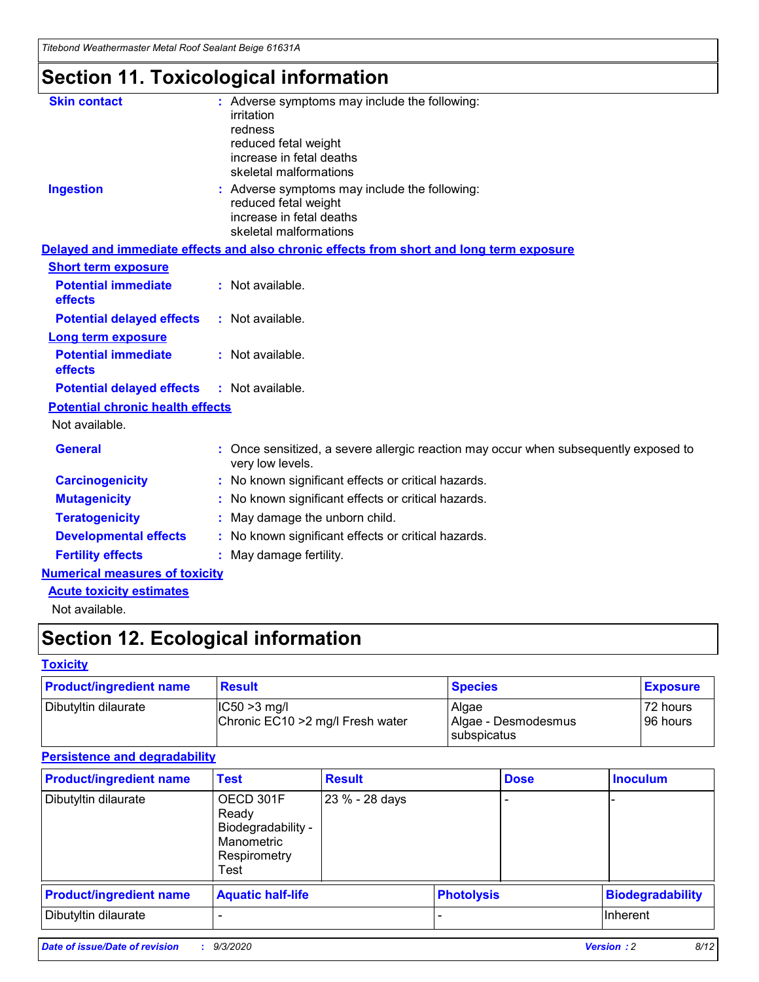*Titebond Weathermaster Metal Roof Sealant Beige 61631A*

# **Section 11. Toxicological information**

| <b>Skin contact</b>                     | irritation<br>redness<br>reduced fetal weight<br>increase in fetal deaths<br>skeletal malformations | : Adverse symptoms may include the following:                                            |
|-----------------------------------------|-----------------------------------------------------------------------------------------------------|------------------------------------------------------------------------------------------|
| <b>Ingestion</b>                        | reduced fetal weight<br>increase in fetal deaths<br>skeletal malformations                          | : Adverse symptoms may include the following:                                            |
|                                         |                                                                                                     | Delayed and immediate effects and also chronic effects from short and long term exposure |
| <b>Short term exposure</b>              |                                                                                                     |                                                                                          |
| <b>Potential immediate</b><br>effects   | : Not available.                                                                                    |                                                                                          |
| <b>Potential delayed effects</b>        | : Not available.                                                                                    |                                                                                          |
| <b>Long term exposure</b>               |                                                                                                     |                                                                                          |
| <b>Potential immediate</b><br>effects   | : Not available.                                                                                    |                                                                                          |
| <b>Potential delayed effects</b>        | : Not available.                                                                                    |                                                                                          |
| <b>Potential chronic health effects</b> |                                                                                                     |                                                                                          |
| Not available.                          |                                                                                                     |                                                                                          |
| <b>General</b>                          | very low levels.                                                                                    | : Once sensitized, a severe allergic reaction may occur when subsequently exposed to     |
| <b>Carcinogenicity</b>                  |                                                                                                     | : No known significant effects or critical hazards.                                      |
| <b>Mutagenicity</b>                     |                                                                                                     | No known significant effects or critical hazards.                                        |
| <b>Teratogenicity</b>                   |                                                                                                     | May damage the unborn child.                                                             |
| <b>Developmental effects</b>            |                                                                                                     | : No known significant effects or critical hazards.                                      |
| <b>Fertility effects</b>                | May damage fertility.                                                                               |                                                                                          |
| <b>Numerical measures of toxicity</b>   |                                                                                                     |                                                                                          |
| <b>Acute toxicity estimates</b>         |                                                                                                     |                                                                                          |
| Not available.                          |                                                                                                     |                                                                                          |

# **Section 12. Ecological information**

#### **Toxicity**

| <b>Product/ingredient name</b> | <b>Result</b>                                       | <b>Species</b>               | <b>Exposure</b>       |
|--------------------------------|-----------------------------------------------------|------------------------------|-----------------------|
| Dibutyltin dilaurate           | $ IC50>3$ mg/l<br>Chronic EC10 > 2 mg/l Fresh water | Algae<br>Algae - Desmodesmus | 72 hours<br>196 hours |
|                                |                                                     | subspicatus                  |                       |

#### **Persistence and degradability**

| <b>Product/ingredient name</b> | <b>Test</b>                                                                    | <b>Result</b>  |                   | <b>Dose</b> | <b>Inoculum</b>         |
|--------------------------------|--------------------------------------------------------------------------------|----------------|-------------------|-------------|-------------------------|
| Dibutyltin dilaurate           | OECD 301F<br>Ready<br>Biodegradability -<br>Manometric<br>Respirometry<br>Test | 23 % - 28 days |                   |             |                         |
| <b>Product/ingredient name</b> | <b>Aquatic half-life</b>                                                       |                | <b>Photolysis</b> |             | <b>Biodegradability</b> |
| Dibutyltin dilaurate           |                                                                                |                |                   |             | <b>Inherent</b>         |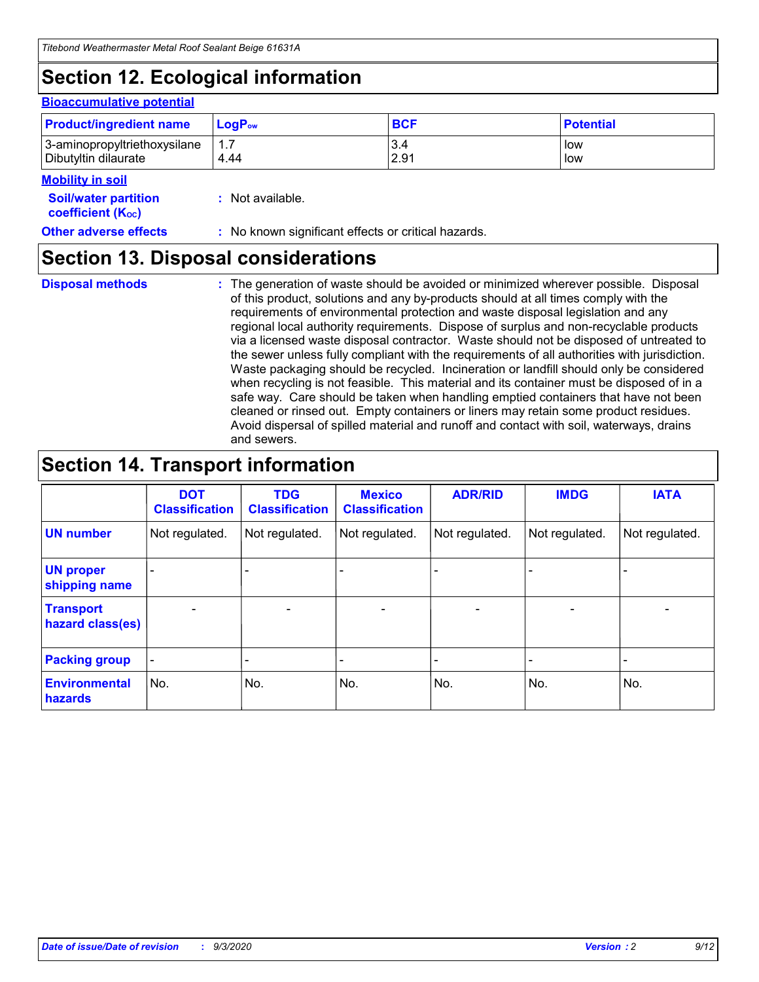# **Section 12. Ecological information**

#### **Bioaccumulative potential**

| <b>Product/ingredient name</b> | $\mathsf{LogP}_\mathsf{ow}$ | <b>BCF</b> | <b>Potential</b> |
|--------------------------------|-----------------------------|------------|------------------|
| 3-aminopropyltriethoxysilane   | 1.7                         | 3.4        | low              |
| Dibutyltin dilaurate           | 4.44                        | 2.91       | low              |

#### **Mobility in soil**

| <b>Soil/water partition</b> | : Not available. |
|-----------------------------|------------------|
| <b>coefficient (Koc)</b>    |                  |

### **Section 13. Disposal considerations**

**Disposal methods :**

The generation of waste should be avoided or minimized wherever possible. Disposal of this product, solutions and any by-products should at all times comply with the requirements of environmental protection and waste disposal legislation and any regional local authority requirements. Dispose of surplus and non-recyclable products via a licensed waste disposal contractor. Waste should not be disposed of untreated to the sewer unless fully compliant with the requirements of all authorities with jurisdiction. Waste packaging should be recycled. Incineration or landfill should only be considered when recycling is not feasible. This material and its container must be disposed of in a safe way. Care should be taken when handling emptied containers that have not been cleaned or rinsed out. Empty containers or liners may retain some product residues. Avoid dispersal of spilled material and runoff and contact with soil, waterways, drains and sewers.

### **Section 14. Transport information**

|                                      | <b>DOT</b><br><b>Classification</b> | <b>TDG</b><br><b>Classification</b> | <b>Mexico</b><br><b>Classification</b> | <b>ADR/RID</b>           | <b>IMDG</b>              | <b>IATA</b>    |
|--------------------------------------|-------------------------------------|-------------------------------------|----------------------------------------|--------------------------|--------------------------|----------------|
| <b>UN number</b>                     | Not regulated.                      | Not regulated.                      | Not regulated.                         | Not regulated.           | Not regulated.           | Not regulated. |
| <b>UN proper</b><br>shipping name    |                                     |                                     |                                        |                          |                          |                |
| <b>Transport</b><br>hazard class(es) |                                     | $\overline{\phantom{0}}$            | $\qquad \qquad \blacksquare$           | $\overline{\phantom{0}}$ | $\overline{\phantom{0}}$ |                |
| <b>Packing group</b>                 |                                     |                                     |                                        |                          |                          |                |
| <b>Environmental</b><br>hazards      | No.                                 | No.                                 | No.                                    | No.                      | No.                      | No.            |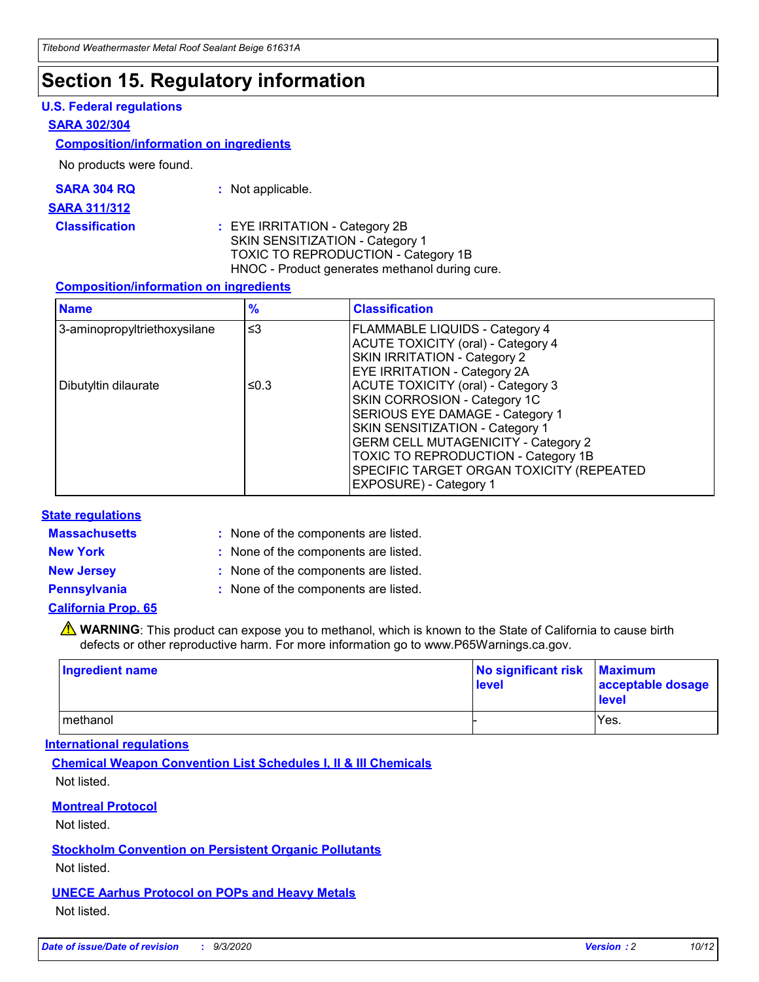### **Section 15. Regulatory information**

#### **U.S. Federal regulations**

#### **SARA 302/304**

#### **Composition/information on ingredients**

No products were found.

| SARA 304 RQ | Not applicable. |
|-------------|-----------------|
|-------------|-----------------|

#### **SARA 311/312**

#### **Classification :** EYE IRRITATION - Category 2B SKIN SENSITIZATION - Category 1 TOXIC TO REPRODUCTION - Category 1B HNOC - Product generates methanol during cure.

#### **Composition/information on ingredients**

| <b>Name</b>                  | $\frac{9}{6}$ | <b>Classification</b>                                                                                                                                                                                                                                                                                      |
|------------------------------|---------------|------------------------------------------------------------------------------------------------------------------------------------------------------------------------------------------------------------------------------------------------------------------------------------------------------------|
| 3-aminopropyltriethoxysilane | $\leq$ 3      | <b>FLAMMABLE LIQUIDS - Category 4</b><br><b>ACUTE TOXICITY (oral) - Category 4</b><br><b>SKIN IRRITATION - Category 2</b><br>EYE IRRITATION - Category 2A                                                                                                                                                  |
| Dibutyltin dilaurate         | ≤0.3          | <b>ACUTE TOXICITY (oral) - Category 3</b><br>SKIN CORROSION - Category 1C<br>SERIOUS EYE DAMAGE - Category 1<br>SKIN SENSITIZATION - Category 1<br><b>GERM CELL MUTAGENICITY - Category 2</b><br>TOXIC TO REPRODUCTION - Category 1B<br>SPECIFIC TARGET ORGAN TOXICITY (REPEATED<br>EXPOSURE) - Category 1 |

#### **State regulations**

**Massachusetts :**

: None of the components are listed.

**New York :** None of the components are listed. **New Jersey :** None of the components are listed.

**Pennsylvania :** None of the components are listed.

#### **California Prop. 65**

WARNING: This product can expose you to methanol, which is known to the State of California to cause birth defects or other reproductive harm. For more information go to www.P65Warnings.ca.gov.

| Ingredient name | No significant risk Maximum<br>level | acceptable dosage<br><b>level</b> |
|-----------------|--------------------------------------|-----------------------------------|
| I methanol      |                                      | Yes.                              |

#### **International regulations**

**Chemical Weapon Convention List Schedules I, II & III Chemicals** Not listed.

#### **Montreal Protocol**

Not listed.

**Stockholm Convention on Persistent Organic Pollutants**

Not listed.

#### **UNECE Aarhus Protocol on POPs and Heavy Metals** Not listed.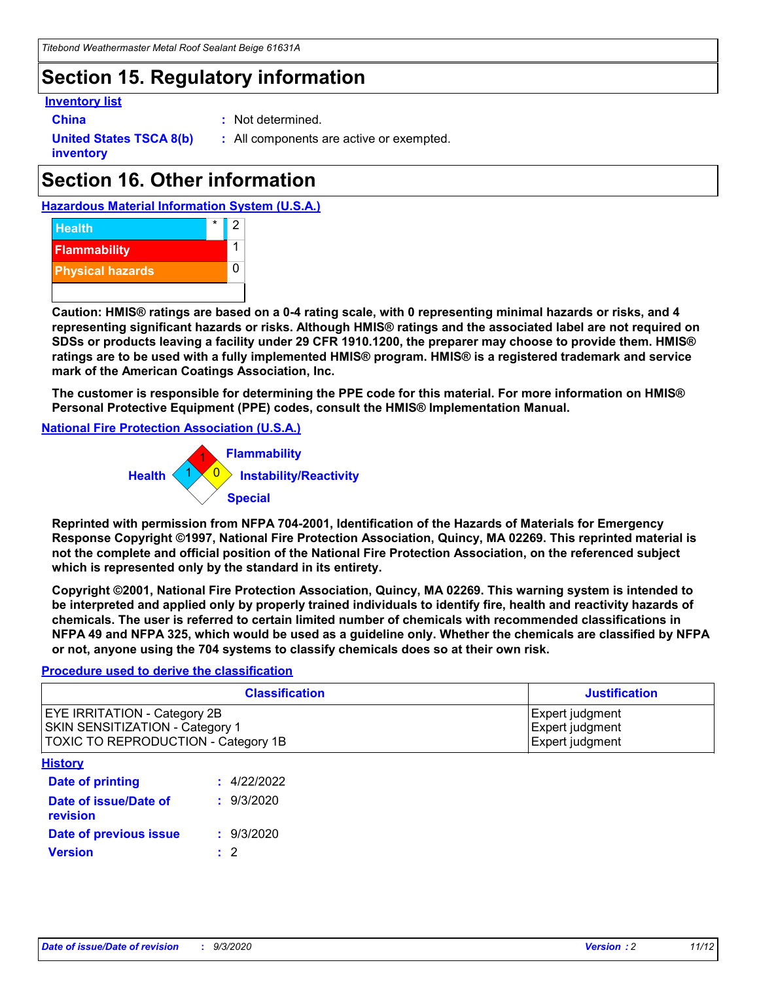### **Section 15. Regulatory information**

#### **Inventory list**

- 
- **China :** Not determined.

**United States TSCA 8(b) inventory**

**:** All components are active or exempted.

# **Section 16. Other information**





**Caution: HMIS® ratings are based on a 0-4 rating scale, with 0 representing minimal hazards or risks, and 4 representing significant hazards or risks. Although HMIS® ratings and the associated label are not required on SDSs or products leaving a facility under 29 CFR 1910.1200, the preparer may choose to provide them. HMIS® ratings are to be used with a fully implemented HMIS® program. HMIS® is a registered trademark and service mark of the American Coatings Association, Inc.**

**The customer is responsible for determining the PPE code for this material. For more information on HMIS® Personal Protective Equipment (PPE) codes, consult the HMIS® Implementation Manual.**

**National Fire Protection Association (U.S.A.)**



**Reprinted with permission from NFPA 704-2001, Identification of the Hazards of Materials for Emergency Response Copyright ©1997, National Fire Protection Association, Quincy, MA 02269. This reprinted material is not the complete and official position of the National Fire Protection Association, on the referenced subject which is represented only by the standard in its entirety.**

**Copyright ©2001, National Fire Protection Association, Quincy, MA 02269. This warning system is intended to be interpreted and applied only by properly trained individuals to identify fire, health and reactivity hazards of chemicals. The user is referred to certain limited number of chemicals with recommended classifications in NFPA 49 and NFPA 325, which would be used as a guideline only. Whether the chemicals are classified by NFPA or not, anyone using the 704 systems to classify chemicals does so at their own risk.**

#### **Procedure used to derive the classification**

| <b>Classification</b>                                                                                                | <b>Justification</b>                                  |  |
|----------------------------------------------------------------------------------------------------------------------|-------------------------------------------------------|--|
| <b>EYE IRRITATION - Category 2B</b><br><b>SKIN SENSITIZATION - Category 1</b><br>TOXIC TO REPRODUCTION - Category 1B | Expert judgment<br>Expert judgment<br>Expert judgment |  |
| <b>History</b>                                                                                                       |                                                       |  |

| Date of printing                  | : 4/22/2022 |
|-----------------------------------|-------------|
| Date of issue/Date of<br>revision | : 9/3/2020  |
| Date of previous issue            | : 9/3/2020  |
| <b>Version</b>                    | $\cdot$ 2   |
|                                   |             |